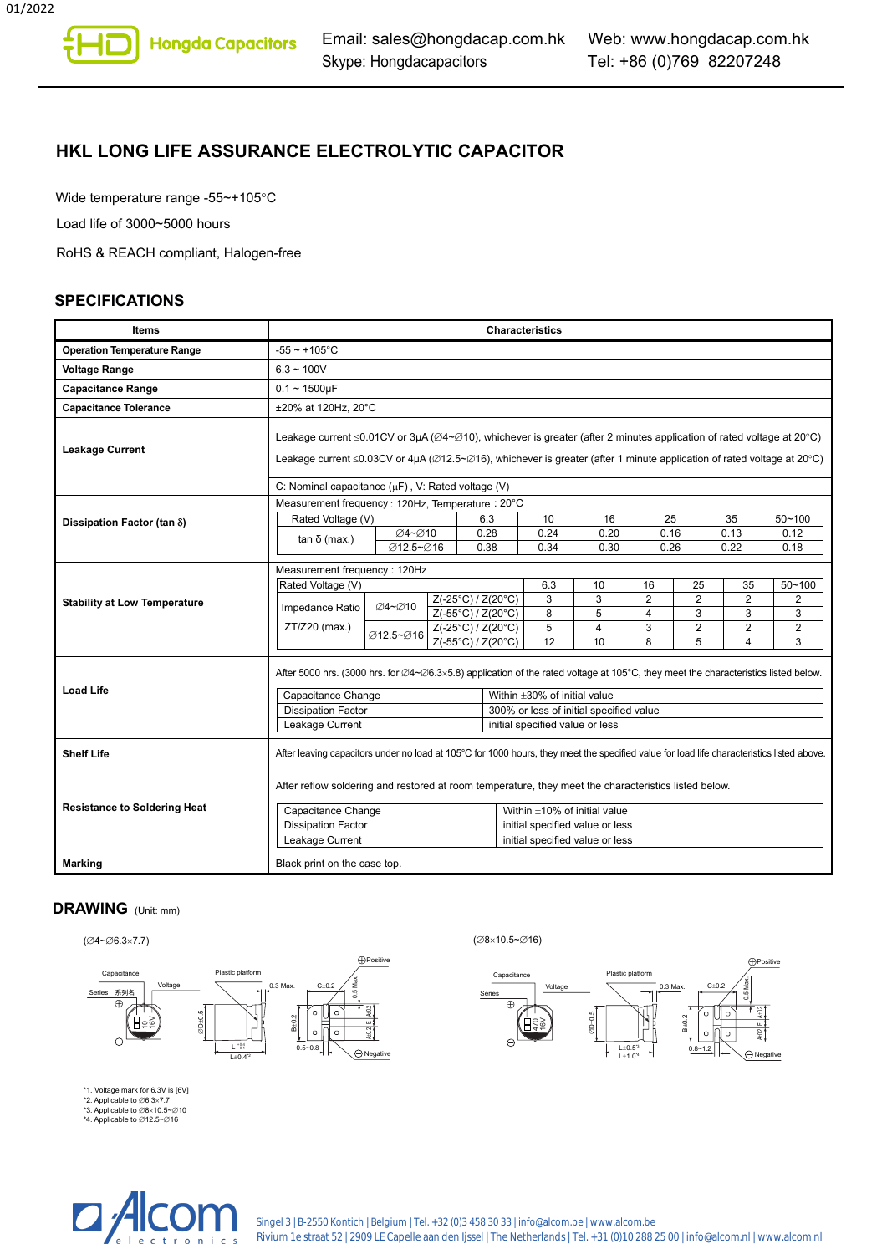# **HKL LONG LIFE ASSURANCE ELECTROLYTIC CAPACITOR**

Wide temperature range -55~+105°C

Load life of 3000~5000 hours

RoHS & REACH compliant, Halogen-free

#### **SPECIFICATIONS**

| <b>Items</b>                        | <b>Characteristics</b>                                                                                                                                                                                                                                                                                              |                     |  |                    |                                                                            |                                    |            |                |                         |            |                    |
|-------------------------------------|---------------------------------------------------------------------------------------------------------------------------------------------------------------------------------------------------------------------------------------------------------------------------------------------------------------------|---------------------|--|--------------------|----------------------------------------------------------------------------|------------------------------------|------------|----------------|-------------------------|------------|--------------------|
| <b>Operation Temperature Range</b>  | $-55 \sim +105$ °C                                                                                                                                                                                                                                                                                                  |                     |  |                    |                                                                            |                                    |            |                |                         |            |                    |
| <b>Voltage Range</b>                | $6.3 - 100V$                                                                                                                                                                                                                                                                                                        |                     |  |                    |                                                                            |                                    |            |                |                         |            |                    |
| <b>Capacitance Range</b>            | $0.1 - 1500 \mu F$                                                                                                                                                                                                                                                                                                  |                     |  |                    |                                                                            |                                    |            |                |                         |            |                    |
| <b>Capacitance Tolerance</b>        | ±20% at 120Hz, 20°C                                                                                                                                                                                                                                                                                                 |                     |  |                    |                                                                            |                                    |            |                |                         |            |                    |
| <b>Leakage Current</b>              | Leakage current $\leq 0.01$ CV or 3µA ( $\varnothing$ 4~ $\varnothing$ 10), whichever is greater (after 2 minutes application of rated voltage at 20°C)<br>Leakage current $\leq$ 0.03CV or 4µA ( $\varnothing$ 12.5~ $\varnothing$ 16), whichever is greater (after 1 minute application of rated voltage at 20°C) |                     |  |                    |                                                                            |                                    |            |                |                         |            |                    |
|                                     | C: Nominal capacitance (µF), V: Rated voltage (V)                                                                                                                                                                                                                                                                   |                     |  |                    |                                                                            |                                    |            |                |                         |            |                    |
|                                     | Measurement frequency: 120Hz, Temperature: 20°C                                                                                                                                                                                                                                                                     |                     |  |                    |                                                                            |                                    |            |                |                         |            |                    |
| Dissipation Factor (tan $\delta$ )  | Rated Voltage (V)                                                                                                                                                                                                                                                                                                   |                     |  | 6.3<br>0.28        |                                                                            | 10<br>0.24                         | 16<br>0.20 | 25<br>0.16     |                         | 35<br>0.13 | $50 - 100$<br>0.12 |
|                                     | $tan δ$ (max.)                                                                                                                                                                                                                                                                                                      | ∅4~∅10<br>Ø12.5~Ø16 |  | 0.38               |                                                                            | 0.34                               | 0.30       | 0.26           |                         | 0.22       | 0.18               |
|                                     |                                                                                                                                                                                                                                                                                                                     |                     |  |                    |                                                                            |                                    |            |                |                         |            |                    |
|                                     | Measurement frequency: 120Hz<br>Rated Voltage (V)                                                                                                                                                                                                                                                                   |                     |  |                    |                                                                            | 6.3                                | 10         | 16             | 25                      | 35         | $50 - 100$         |
| <b>Stability at Low Temperature</b> |                                                                                                                                                                                                                                                                                                                     |                     |  | Z(-25°C) / Z(20°C) |                                                                            | 3                                  | 3          | $\overline{2}$ | $\overline{2}$          | 2          | 2                  |
|                                     | Impedance Ratio                                                                                                                                                                                                                                                                                                     | ∅4~∅10              |  | Z(-55°C) / Z(20°C) |                                                                            | 8                                  | 5          | $\overline{4}$ | 3                       | 3          | 3                  |
|                                     | ZT/Z20 (max.)                                                                                                                                                                                                                                                                                                       | Ø12.5~Ø16           |  | Z(-25°C) / Z(20°C) |                                                                            | 5                                  | 4          | 3              | $\overline{\mathbf{c}}$ | 2          | $\overline{2}$     |
|                                     |                                                                                                                                                                                                                                                                                                                     |                     |  | Z(-55°C) / Z(20°C) |                                                                            | 12                                 | 10         | 8              | 5                       | 4          | 3                  |
|                                     | After 5000 hrs. (3000 hrs. for $\emptyset$ 4~ $\emptyset$ 6.3×5.8) application of the rated voltage at 105°C, they meet the characteristics listed below.                                                                                                                                                           |                     |  |                    |                                                                            |                                    |            |                |                         |            |                    |
| <b>Load Life</b>                    | Capacitance Change                                                                                                                                                                                                                                                                                                  |                     |  |                    | Within $\pm 30\%$ of initial value                                         |                                    |            |                |                         |            |                    |
|                                     | <b>Dissipation Factor</b>                                                                                                                                                                                                                                                                                           |                     |  |                    | 300% or less of initial specified value<br>initial specified value or less |                                    |            |                |                         |            |                    |
|                                     | Leakage Current                                                                                                                                                                                                                                                                                                     |                     |  |                    |                                                                            |                                    |            |                |                         |            |                    |
| <b>Shelf Life</b>                   | After leaving capacitors under no load at 105°C for 1000 hours, they meet the specified value for load life characteristics listed above.                                                                                                                                                                           |                     |  |                    |                                                                            |                                    |            |                |                         |            |                    |
|                                     | After reflow soldering and restored at room temperature, they meet the characteristics listed below.                                                                                                                                                                                                                |                     |  |                    |                                                                            |                                    |            |                |                         |            |                    |
| <b>Resistance to Soldering Heat</b> | Capacitance Change                                                                                                                                                                                                                                                                                                  |                     |  |                    |                                                                            | Within $\pm 10\%$ of initial value |            |                |                         |            |                    |
|                                     | <b>Dissipation Factor</b>                                                                                                                                                                                                                                                                                           |                     |  |                    |                                                                            | initial specified value or less    |            |                |                         |            |                    |
|                                     | Leakage Current                                                                                                                                                                                                                                                                                                     |                     |  |                    |                                                                            | initial specified value or less    |            |                |                         |            |                    |
| <b>Marking</b>                      | Black print on the case top.                                                                                                                                                                                                                                                                                        |                     |  |                    |                                                                            |                                    |            |                |                         |            |                    |

#### **DRAWING** (Unit: mm)

 $(\emptyset$ 4~ $\emptyset$ 6.3×7.7) ( $\emptyset$ 8×10.5~ $\emptyset$ 16)



\*1. Voltage mark for 6.3V is [6V] \*2. Applicable to ∅6.3×7.7 \*3. Applicable to ∅8×10.5~∅10 \*4. Applicable to ∅12.5~∅16



⊕

Series Capacitance

470<br>16V

Voltage

∅D±0.5

Plastic platform

 $L\pm1.0$  $L\pm0.5$ <sup>3</sup> Positive

0.5 Max. A±0.2 A±0.2 E

0.3 Max. C±0.2

B±0.2  $0.8 - 1.2$ 

 $\bigodot$  Negative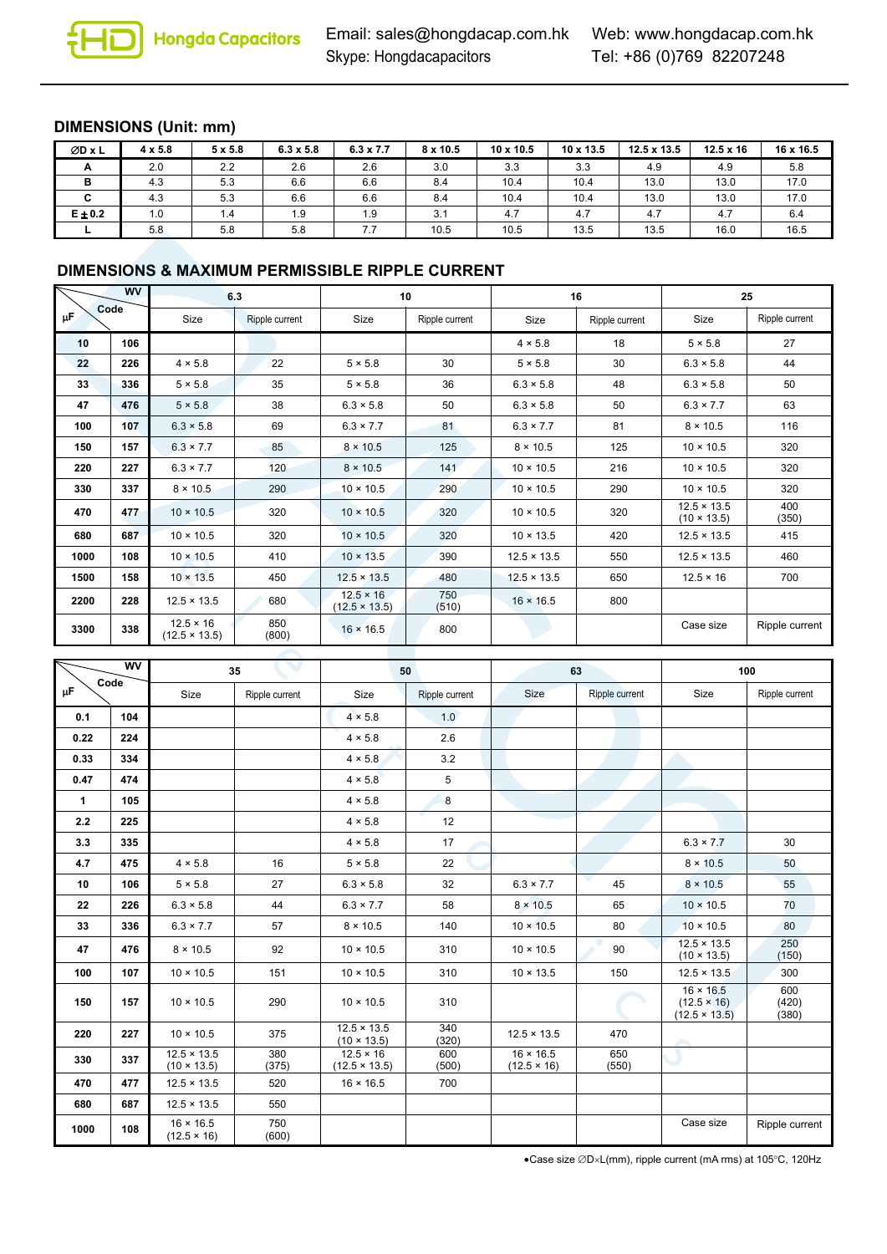# **DIMENSIONS (Unit: mm)**

| ØD x L      | $4 \times 5.8$ | $5 \times 5.8$ | $6.3 \times 5.8$ | $6.3 \times 7.7$ | $8 \times 10.5$ | $10 \times 10.5$ | 10 x 13.5 | $12.5 \times 13.5$ | $12.5 \times 16$ | 16 x 16.5 |
|-------------|----------------|----------------|------------------|------------------|-----------------|------------------|-----------|--------------------|------------------|-----------|
| A           | 2.0            | 2.2            | 2.6              | 2.6              | 3.0             | 3.3              | 3.3       | 4.9                | 4.9              | 5.8       |
| в           | 4.3            | 5.3            | 6.6              | 6.6              | 8.4             | 10.4             | 10.4      | 13.0               | 13.0             | 17.0      |
| C           | 4.3            | 5.3            | 6.6              | 6.6              | 8.4             | 10.4             | 10.4      | 13.0               | 13.0             | 17.0      |
| $E \pm 0.2$ | 1.0            | 1.4            | 1.9              | 1.9              | 3.1             | 4.7              | 4.7       | 4.7                | 4.7              | 6.4       |
|             | 5.8            | 5.8            | 5.8              | 7.7              | 10.5            | 10.5             | 13.5      | 13.5               | 16.0             | 16.5      |

### **DIMENSIONS & MAXIMUM PERMISSIBLE RIPPLE CURRENT**

| <b>WV</b><br>Code |     | 6.3                                      |                | 10                                       |                |                    | 16             | 25                                       |                |  |
|-------------------|-----|------------------------------------------|----------------|------------------------------------------|----------------|--------------------|----------------|------------------------------------------|----------------|--|
| μF,               |     | Size                                     | Ripple current | Size                                     | Ripple current | Size               | Ripple current | Size                                     | Ripple current |  |
| 10                | 106 |                                          |                |                                          |                | $4 \times 5.8$     | 18             | $5 \times 5.8$                           | 27             |  |
| 22                | 226 | $4 \times 5.8$                           | 22             | $5 \times 5.8$                           | 30             | $5 \times 5.8$     | 30             | $6.3 \times 5.8$                         | 44             |  |
| 33                | 336 | $5 \times 5.8$                           | 35             | $5 \times 5.8$                           | 36             | $6.3 \times 5.8$   | 48             | $6.3 \times 5.8$                         | 50             |  |
| 47                | 476 | $5 \times 5.8$                           | 38             | $6.3 \times 5.8$                         | 50             | $6.3 \times 5.8$   | 50             | $6.3 \times 7.7$                         | 63             |  |
| 100               | 107 | $6.3 \times 5.8$                         | 69             | $6.3 \times 7.7$                         | 81             | $6.3 \times 7.7$   | 81             | $8 \times 10.5$                          | 116            |  |
| 150               | 157 | $6.3 \times 7.7$                         | 85             | $8 \times 10.5$                          | 125            | $8 \times 10.5$    | 125            | $10 \times 10.5$                         | 320            |  |
| 220               | 227 | $6.3 \times 7.7$                         | 120            | $8 \times 10.5$                          | 141            | $10 \times 10.5$   | 216            | $10 \times 10.5$                         | 320            |  |
| 330               | 337 | $8 \times 10.5$                          | 290            | $10 \times 10.5$                         | 290            | $10 \times 10.5$   | 290            | $10 \times 10.5$                         | 320            |  |
| 470               | 477 | $10 \times 10.5$                         | 320            | $10 \times 10.5$                         | 320            | $10 \times 10.5$   | 320            | $12.5 \times 13.5$<br>$(10 \times 13.5)$ | 400<br>(350)   |  |
| 680               | 687 | $10 \times 10.5$                         | 320            | $10 \times 10.5$                         | 320            | $10 \times 13.5$   | 420            | $12.5 \times 13.5$                       | 415            |  |
| 1000              | 108 | $10 \times 10.5$                         | 410            | $10 \times 13.5$                         | 390            | $12.5 \times 13.5$ | 550            | $12.5 \times 13.5$                       | 460            |  |
| 1500              | 158 | $10 \times 13.5$                         | 450            | $12.5 \times 13.5$                       | 480            | $12.5 \times 13.5$ | 650            | $12.5 \times 16$                         | 700            |  |
| 2200              | 228 | $12.5 \times 13.5$                       | 680            | $12.5 \times 16$<br>$(12.5 \times 13.5)$ | 750<br>(510)   | $16 \times 16.5$   | 800            |                                          |                |  |
| 3300              | 338 | $12.5 \times 16$<br>$(12.5 \times 13.5)$ | 850<br>(800)   | $16 \times 16.5$                         | 800            |                    |                | Case size                                | Ripple current |  |

| <b>WV</b><br>Code<br>μF |     | 35                                       |                |                                          | 50               |                                        | 63             | 100                                                            |                       |
|-------------------------|-----|------------------------------------------|----------------|------------------------------------------|------------------|----------------------------------------|----------------|----------------------------------------------------------------|-----------------------|
|                         |     | Size                                     | Ripple current | Size                                     | Ripple current   | Size                                   | Ripple current | Size                                                           | Ripple current        |
| 0.1                     | 104 |                                          |                | $4 \times 5.8$                           | 1.0              |                                        |                |                                                                |                       |
| 0.22                    | 224 |                                          |                | $4 \times 5.8$                           | 2.6              |                                        |                |                                                                |                       |
| 0.33                    | 334 |                                          |                | $4 \times 5.8$                           | 3.2              |                                        |                |                                                                |                       |
| 0.47                    | 474 |                                          |                | $4 \times 5.8$                           | 5                |                                        |                |                                                                |                       |
| $\mathbf{1}$            | 105 |                                          |                | $4 \times 5.8$                           | $\boldsymbol{8}$ |                                        |                |                                                                |                       |
| 2.2                     | 225 |                                          |                | $4 \times 5.8$                           | 12               |                                        |                |                                                                |                       |
| 3.3                     | 335 |                                          |                | $4 \times 5.8$                           | 17               |                                        |                | $6.3 \times 7.7$                                               | 30                    |
| 4.7                     | 475 | $4 \times 5.8$                           | 16             | $5 \times 5.8$                           | 22               |                                        |                | $8 \times 10.5$                                                | 50                    |
| 10                      | 106 | $5 \times 5.8$                           | 27             | $6.3 \times 5.8$                         | 32               | $6.3 \times 7.7$                       | 45             | $8 \times 10.5$                                                | 55                    |
| 22                      | 226 | $6.3 \times 5.8$                         | 44             | $6.3 \times 7.7$                         | 58               | $8 \times 10.5$                        | 65             | $10 \times 10.5$                                               | 70                    |
| 33                      | 336 | $6.3 \times 7.7$                         | 57             | $8 \times 10.5$                          | 140              | $10 \times 10.5$                       | 80             | $10 \times 10.5$                                               | 80                    |
| 47                      | 476 | $8 \times 10.5$                          | 92             | $10 \times 10.5$                         | 310              | $10 \times 10.5$                       | 90             | $12.5 \times 13.5$<br>$(10 \times 13.5)$                       | 250<br>(150)          |
| 100                     | 107 | $10 \times 10.5$                         | 151            | $10 \times 10.5$                         | 310              | $10 \times 13.5$                       | 150            | $12.5 \times 13.5$                                             | 300                   |
| 150                     | 157 | $10 \times 10.5$                         | 290            | $10 \times 10.5$                         | 310              |                                        |                | $16 \times 16.5$<br>$(12.5 \times 16)$<br>$(12.5 \times 13.5)$ | 600<br>(420)<br>(380) |
| 220                     | 227 | $10 \times 10.5$                         | 375            | $12.5 \times 13.5$<br>$(10 \times 13.5)$ | 340<br>(320)     | $12.5 \times 13.5$                     | 470            | ÷                                                              |                       |
| 330                     | 337 | $12.5 \times 13.5$<br>$(10 \times 13.5)$ | 380<br>(375)   | $12.5 \times 16$<br>$(12.5 \times 13.5)$ | 600<br>(500)     | $16 \times 16.5$<br>$(12.5 \times 16)$ | 650<br>(550)   |                                                                |                       |
| 470                     | 477 | $12.5 \times 13.5$                       | 520            | $16 \times 16.5$                         | 700              |                                        |                |                                                                |                       |
| 680                     | 687 | $12.5 \times 13.5$                       | 550            |                                          |                  |                                        |                |                                                                |                       |
| 1000                    | 108 | $16 \times 16.5$<br>$(12.5 \times 16)$   | 750<br>(600)   |                                          |                  |                                        |                | Case size                                                      | Ripple current        |

Case size ∅D×L(mm), ripple current (mA rms) at 105°C, 120Hz